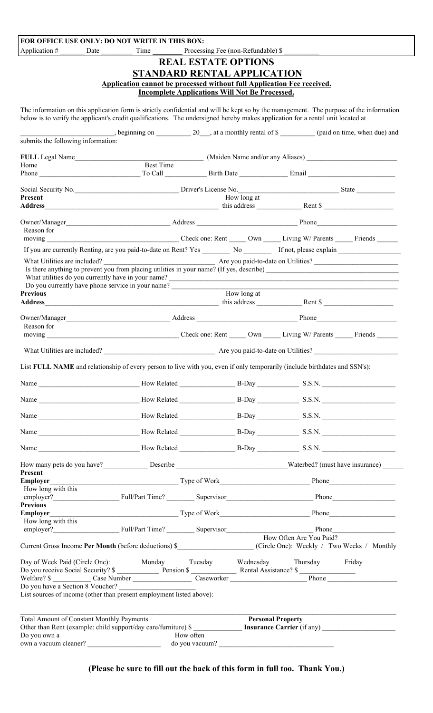| FOR OFFICE USE ONLY: DO NOT WRITE IN THIS BOX:                                                                                                                                                                                                                             |                                                                                                          |                                                                                                                                                                                                                                |                                                                                                                                                                                                                                |  |  |  |
|----------------------------------------------------------------------------------------------------------------------------------------------------------------------------------------------------------------------------------------------------------------------------|----------------------------------------------------------------------------------------------------------|--------------------------------------------------------------------------------------------------------------------------------------------------------------------------------------------------------------------------------|--------------------------------------------------------------------------------------------------------------------------------------------------------------------------------------------------------------------------------|--|--|--|
|                                                                                                                                                                                                                                                                            |                                                                                                          | Processing Fee (non-Refundable) \$                                                                                                                                                                                             |                                                                                                                                                                                                                                |  |  |  |
|                                                                                                                                                                                                                                                                            |                                                                                                          | <b>REAL ESTATE OPTIONS</b>                                                                                                                                                                                                     |                                                                                                                                                                                                                                |  |  |  |
|                                                                                                                                                                                                                                                                            |                                                                                                          | STANDARD RENTAL APPLICATION                                                                                                                                                                                                    |                                                                                                                                                                                                                                |  |  |  |
|                                                                                                                                                                                                                                                                            | Application cannot be processed without full Application Fee received.                                   |                                                                                                                                                                                                                                |                                                                                                                                                                                                                                |  |  |  |
|                                                                                                                                                                                                                                                                            |                                                                                                          | <b>Incomplete Applications Will Not Be Processed.</b>                                                                                                                                                                          |                                                                                                                                                                                                                                |  |  |  |
| The information on this application form is strictly confidential and will be kept so by the management. The purpose of the information<br>below is to verify the applicant's credit qualifications. The undersigned hereby makes application for a rental unit located at |                                                                                                          |                                                                                                                                                                                                                                |                                                                                                                                                                                                                                |  |  |  |
| submits the following information:                                                                                                                                                                                                                                         | beginning on $\_\_\_\_$ 20 $\_\_\_\$ at a monthly rental of \$ $\_\_\_\_\_$ (paid on time, when due) and |                                                                                                                                                                                                                                |                                                                                                                                                                                                                                |  |  |  |
|                                                                                                                                                                                                                                                                            |                                                                                                          |                                                                                                                                                                                                                                |                                                                                                                                                                                                                                |  |  |  |
| Home                                                                                                                                                                                                                                                                       |                                                                                                          | FULL Legal Name Best Time Maiden Name and/or any Aliases) Maiden Name and/or any Aliases Best Time Best Time Best Time Best Time Best Time Best Time Best Time Best Time Best Time Best Time Best Time Best Time Best Time Bes |                                                                                                                                                                                                                                |  |  |  |
|                                                                                                                                                                                                                                                                            |                                                                                                          |                                                                                                                                                                                                                                |                                                                                                                                                                                                                                |  |  |  |
| <b>Present</b>                                                                                                                                                                                                                                                             |                                                                                                          | How long at                                                                                                                                                                                                                    |                                                                                                                                                                                                                                |  |  |  |
|                                                                                                                                                                                                                                                                            |                                                                                                          |                                                                                                                                                                                                                                |                                                                                                                                                                                                                                |  |  |  |
|                                                                                                                                                                                                                                                                            |                                                                                                          |                                                                                                                                                                                                                                |                                                                                                                                                                                                                                |  |  |  |
| Reason for                                                                                                                                                                                                                                                                 |                                                                                                          |                                                                                                                                                                                                                                |                                                                                                                                                                                                                                |  |  |  |
| If you are currently Renting, are you paid-to-date on Rent? Yes No Theory If not, please explain                                                                                                                                                                           |                                                                                                          |                                                                                                                                                                                                                                |                                                                                                                                                                                                                                |  |  |  |
| Is there anything to prevent you from placing utilities in your name? (If yes, describe)<br>Do you currently have phone service in your name?                                                                                                                              |                                                                                                          |                                                                                                                                                                                                                                |                                                                                                                                                                                                                                |  |  |  |
| <b>Previous</b>                                                                                                                                                                                                                                                            |                                                                                                          | How long at                                                                                                                                                                                                                    |                                                                                                                                                                                                                                |  |  |  |
| Owner/Manager Address Address Address Phone                                                                                                                                                                                                                                |                                                                                                          |                                                                                                                                                                                                                                |                                                                                                                                                                                                                                |  |  |  |
| Reason for<br>moving Check one: Rent Own Living W/ Parents Friends                                                                                                                                                                                                         |                                                                                                          |                                                                                                                                                                                                                                |                                                                                                                                                                                                                                |  |  |  |
|                                                                                                                                                                                                                                                                            |                                                                                                          |                                                                                                                                                                                                                                |                                                                                                                                                                                                                                |  |  |  |
| What Utilities are included?                                                                                                                                                                                                                                               |                                                                                                          | Are you paid-to-date on Utilities?                                                                                                                                                                                             |                                                                                                                                                                                                                                |  |  |  |
| List FULL NAME and relationship of every person to live with you, even if only temporarily (include birthdates and SSN's):                                                                                                                                                 |                                                                                                          |                                                                                                                                                                                                                                |                                                                                                                                                                                                                                |  |  |  |
|                                                                                                                                                                                                                                                                            |                                                                                                          |                                                                                                                                                                                                                                |                                                                                                                                                                                                                                |  |  |  |
|                                                                                                                                                                                                                                                                            |                                                                                                          |                                                                                                                                                                                                                                |                                                                                                                                                                                                                                |  |  |  |
|                                                                                                                                                                                                                                                                            |                                                                                                          |                                                                                                                                                                                                                                |                                                                                                                                                                                                                                |  |  |  |
|                                                                                                                                                                                                                                                                            |                                                                                                          |                                                                                                                                                                                                                                |                                                                                                                                                                                                                                |  |  |  |
|                                                                                                                                                                                                                                                                            |                                                                                                          |                                                                                                                                                                                                                                |                                                                                                                                                                                                                                |  |  |  |
|                                                                                                                                                                                                                                                                            |                                                                                                          |                                                                                                                                                                                                                                |                                                                                                                                                                                                                                |  |  |  |
| <b>Present</b>                                                                                                                                                                                                                                                             |                                                                                                          |                                                                                                                                                                                                                                | Employer Phone Phone Phone Phone Phone Phone Phone Phone Phone Phone Phone Phone Phone Phone Phone Phone Phone Phone Phone Phone Phone Phone Phone Phone Phone Phone Phone Phone Phone Phone Phone Phone Phone Phone Phone Pho |  |  |  |
| How long with this                                                                                                                                                                                                                                                         |                                                                                                          |                                                                                                                                                                                                                                |                                                                                                                                                                                                                                |  |  |  |
| <b>Previous</b>                                                                                                                                                                                                                                                            |                                                                                                          |                                                                                                                                                                                                                                |                                                                                                                                                                                                                                |  |  |  |
| How long with this                                                                                                                                                                                                                                                         |                                                                                                          |                                                                                                                                                                                                                                |                                                                                                                                                                                                                                |  |  |  |
|                                                                                                                                                                                                                                                                            |                                                                                                          |                                                                                                                                                                                                                                | How Often Are You Paid?                                                                                                                                                                                                        |  |  |  |
| Day of Week Paid (Circle One): Monday Tuesday Wednesday Thursday Friday<br>Do you receive Social Security? \$ Pension \$ Pension \$ Rental Assistance? \$                                                                                                                  |                                                                                                          |                                                                                                                                                                                                                                |                                                                                                                                                                                                                                |  |  |  |
|                                                                                                                                                                                                                                                                            |                                                                                                          |                                                                                                                                                                                                                                |                                                                                                                                                                                                                                |  |  |  |
| Do you have a Section 8 Voucher?<br>List sources of income (other than present employment listed above):                                                                                                                                                                   |                                                                                                          |                                                                                                                                                                                                                                |                                                                                                                                                                                                                                |  |  |  |
| <b>Total Amount of Constant Monthly Payments</b>                                                                                                                                                                                                                           | <b>Personal Property</b>                                                                                 |                                                                                                                                                                                                                                |                                                                                                                                                                                                                                |  |  |  |
|                                                                                                                                                                                                                                                                            |                                                                                                          |                                                                                                                                                                                                                                |                                                                                                                                                                                                                                |  |  |  |
| Do you own a                                                                                                                                                                                                                                                               | How often                                                                                                | do you vacuum?                                                                                                                                                                                                                 |                                                                                                                                                                                                                                |  |  |  |
|                                                                                                                                                                                                                                                                            |                                                                                                          |                                                                                                                                                                                                                                |                                                                                                                                                                                                                                |  |  |  |

**(Please be sure to fill out the back of this form in full too. Thank You.)**